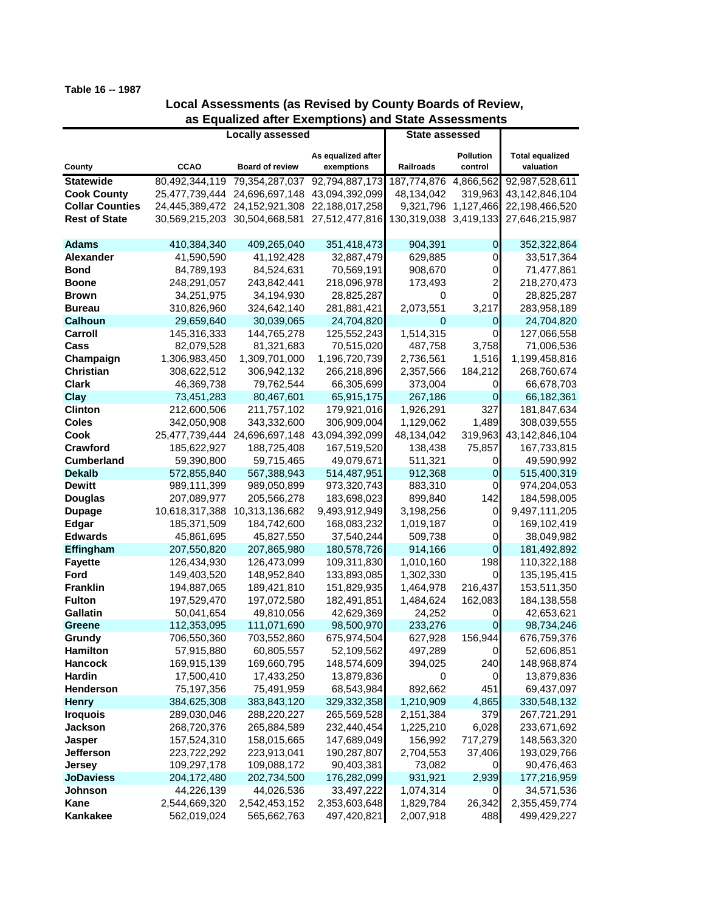## **Table 16 -- 1987**

## **Local Assessments (as Revised by County Boards of Review, as Equalized after Exemptions) and State Assessments**

|                                 | <b>Locally assessed</b>   |                               |                           | <b>State assessed</b> |                     |                           |
|---------------------------------|---------------------------|-------------------------------|---------------------------|-----------------------|---------------------|---------------------------|
|                                 |                           |                               |                           |                       |                     |                           |
|                                 |                           |                               | As equalized after        |                       | <b>Pollution</b>    | <b>Total equalized</b>    |
| County                          | <b>CCAO</b>               | <b>Board of review</b>        | exemptions                | Railroads             | control             | valuation                 |
| <b>Statewide</b>                | 80,492,344,119            | 79,354,287,037                | 92,794,887,173            | 187,774,876           | 4,866,562           | 92,987,528,611            |
| <b>Cook County</b>              | 25,477,739,444            | 24,696,697,148                | 43,094,392,099            | 48,134,042            | 319,963             | 43,142,846,104            |
| <b>Collar Counties</b>          |                           | 24,445,389,472 24,152,921,308 | 22,188,017,258            |                       | 9,321,796 1,127,466 | 22,198,466,520            |
| <b>Rest of State</b>            |                           | 30,569,215,203 30,504,668,581 | 27,512,477,816            | 130,319,038           | 3,419,133           | 27,646,215,987            |
|                                 |                           |                               |                           |                       |                     |                           |
| <b>Adams</b>                    | 410,384,340               | 409,265,040                   | 351,418,473               | 904,391               | $\mathbf 0$         | 352,322,864               |
| <b>Alexander</b><br><b>Bond</b> | 41,590,590                | 41,192,428                    | 32,887,479                | 629,885               | 0                   | 33,517,364                |
|                                 | 84,789,193                | 84,524,631                    | 70,569,191                | 908,670               | $\overline{0}$      | 71,477,861                |
| <b>Boone</b>                    | 248,291,057<br>34,251,975 | 243,842,441                   | 218,096,978               | 173,493<br>0          | 2<br>0              | 218,270,473               |
| Brown                           |                           | 34,194,930                    | 28,825,287                | 2,073,551             |                     | 28,825,287                |
| <b>Bureau</b>                   | 310,826,960               | 324,642,140                   | 281,881,421               | 0                     | 3,217               | 283,958,189               |
| <b>Calhoun</b><br>Carroll       | 29,659,640<br>145,316,333 | 30,039,065                    | 24,704,820                | 1,514,315             | $\mathbf 0$<br>0    | 24,704,820                |
| Cass                            | 82,079,528                | 144,765,278<br>81,321,683     | 125,552,243<br>70,515,020 | 487,758               | 3,758               | 127,066,558<br>71,006,536 |
| Champaign                       | 1,306,983,450             | 1,309,701,000                 | 1,196,720,739             | 2,736,561             | 1,516               | 1,199,458,816             |
| <b>Christian</b>                | 308,622,512               | 306,942,132                   | 266,218,896               | 2,357,566             | 184,212             | 268,760,674               |
| <b>Clark</b>                    | 46,369,738                | 79,762,544                    | 66,305,699                | 373,004               | $\overline{0}$      | 66,678,703                |
| Clay                            | 73,451,283                | 80,467,601                    | 65,915,175                | 267,186               | $\overline{0}$      | 66,182,361                |
| <b>Clinton</b>                  | 212,600,506               | 211,757,102                   | 179,921,016               | 1,926,291             | 327                 | 181,847,634               |
| <b>Coles</b>                    | 342,050,908               | 343,332,600                   | 306,909,004               | 1,129,062             | 1,489               | 308,039,555               |
| Cook                            | 25,477,739,444            | 24,696,697,148                | 43,094,392,099            | 48,134,042            | 319,963             | 43,142,846,104            |
| <b>Crawford</b>                 | 185,622,927               | 188,725,408                   | 167,519,520               | 138,438               | 75,857              | 167,733,815               |
| <b>Cumberland</b>               | 59,390,800                | 59,715,465                    | 49,079,671                | 511,321               | 0                   | 49,590,992                |
| <b>Dekalb</b>                   | 572,855,840               | 567,388,943                   | 514,487,951               | 912,368               | $\mathbf 0$         | 515,400,319               |
| <b>Dewitt</b>                   | 989,111,399               | 989,050,899                   | 973,320,743               | 883,310               | 0                   | 974,204,053               |
| <b>Douglas</b>                  | 207,089,977               | 205,566,278                   | 183,698,023               | 899,840               | 142                 | 184,598,005               |
| <b>Dupage</b>                   | 10,618,317,388            | 10,313,136,682                | 9,493,912,949             | 3,198,256             | $\overline{0}$      | 9,497,111,205             |
| <b>Edgar</b>                    | 185,371,509               | 184,742,600                   | 168,083,232               | 1,019,187             | 0                   | 169,102,419               |
| <b>Edwards</b>                  | 45,861,695                | 45,827,550                    | 37,540,244                | 509,738               | 0                   | 38,049,982                |
| Effingham                       | 207,550,820               | 207,865,980                   | 180,578,726               | 914,166               | $\overline{0}$      | 181,492,892               |
| <b>Fayette</b>                  | 126,434,930               | 126,473,099                   | 109,311,830               | 1,010,160             | 198                 | 110,322,188               |
| Ford                            | 149,403,520               | 148,952,840                   | 133,893,085               | 1,302,330             | $\mathbf 0$         | 135,195,415               |
| <b>Franklin</b>                 | 194,887,065               | 189,421,810                   | 151,829,935               | 1,464,978             | 216,437             | 153,511,350               |
| <b>Fulton</b>                   | 197,529,470               | 197,072,580                   | 182,491,851               | 1,484,624             | 162,083             | 184,138,558               |
| <b>Gallatin</b>                 | 50,041,654                | 49,810,056                    | 42,629,369                | 24,252                | 0                   | 42,653,621                |
| <b>Greene</b>                   | 112,353,095               | 111,071,690                   | 98,500,970                | 233,276               | $\overline{0}$      | 98,734,246                |
| Grundy                          | 706,550,360               | 703,552,860                   | 675,974,504               | 627,928               | 156,944             | 676,759,376               |
| <b>Hamilton</b>                 | 57,915,880                | 60,805,557                    | 52,109,562                | 497,289               | $\overline{O}$      | 52,606,851                |
| <b>Hancock</b>                  | 169,915,139               | 169,660,795                   | 148,574,609               | 394,025               | 240                 | 148,968,874               |
| Hardin                          | 17,500,410                | 17,433,250                    | 13,879,836                | 0                     | 0                   | 13,879,836                |
| <b>Henderson</b>                | 75,197,356                | 75,491,959                    | 68,543,984                | 892,662               | 451                 | 69,437,097                |
| <b>Henry</b>                    | 384,625,308               | 383,843,120                   | 329,332,358               | 1,210,909             | 4,865               | 330,548,132               |
| <b>Iroquois</b>                 | 289,030,046               | 288,220,227                   | 265,569,528               | 2,151,384             | 379                 | 267,721,291               |
| Jackson                         | 268,720,376               | 265,884,589                   | 232,440,454               | 1,225,210             | 6,028               | 233,671,692               |
| Jasper                          | 157,524,310               | 158,015,665                   | 147,689,049               | 156,992               | 717,279             | 148,563,320               |
| <b>Jefferson</b>                | 223,722,292               | 223,913,041                   | 190,287,807               | 2,704,553             | 37,406              | 193,029,766               |
| <b>Jersey</b>                   | 109,297,178               | 109,088,172                   | 90,403,381                | 73,082                | 0                   | 90,476,463                |
| <b>JoDaviess</b>                | 204,172,480               | 202,734,500                   | 176,282,099               | 931,921               | 2,939               | 177,216,959               |
| Johnson                         | 44,226,139                | 44,026,536                    | 33,497,222                | 1,074,314             | 0                   | 34,571,536                |
| Kane                            | 2,544,669,320             | 2,542,453,152                 | 2,353,603,648             | 1,829,784             | 26,342              | 2,355,459,774             |
| Kankakee                        | 562,019,024               | 565,662,763                   | 497,420,821               | 2,007,918             | 488                 | 499,429,227               |